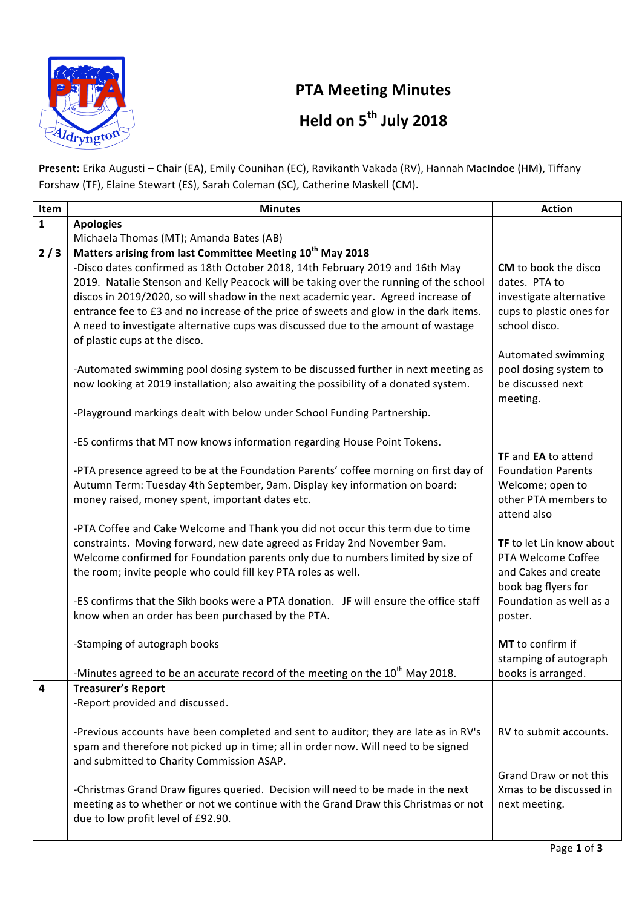

## **PTA
Meeting
Minutes Held
on
5th
July
2018**

Present: Erika Augusti - Chair (EA), Emily Counihan (EC), Ravikanth Vakada (RV), Hannah MacIndoe (HM), Tiffany Forshaw
(TF),
Elaine
Stewart
(ES),
Sarah
Coleman
(SC),
Catherine
Maskell
(CM).

| Item         | <b>Minutes</b>                                                                                                                                                         | <b>Action</b>                             |
|--------------|------------------------------------------------------------------------------------------------------------------------------------------------------------------------|-------------------------------------------|
| $\mathbf{1}$ | <b>Apologies</b>                                                                                                                                                       |                                           |
|              | Michaela Thomas (MT); Amanda Bates (AB)                                                                                                                                |                                           |
| 2/3          | Matters arising from last Committee Meeting 10 <sup>th</sup> May 2018                                                                                                  |                                           |
|              | -Disco dates confirmed as 18th October 2018, 14th February 2019 and 16th May                                                                                           | CM to book the disco                      |
|              | 2019. Natalie Stenson and Kelly Peacock will be taking over the running of the school                                                                                  | dates. PTA to                             |
|              | discos in 2019/2020, so will shadow in the next academic year. Agreed increase of                                                                                      | investigate alternative                   |
|              | entrance fee to £3 and no increase of the price of sweets and glow in the dark items.                                                                                  | cups to plastic ones for<br>school disco. |
|              | A need to investigate alternative cups was discussed due to the amount of wastage<br>of plastic cups at the disco.                                                     |                                           |
|              |                                                                                                                                                                        | Automated swimming                        |
|              | -Automated swimming pool dosing system to be discussed further in next meeting as                                                                                      | pool dosing system to                     |
|              | now looking at 2019 installation; also awaiting the possibility of a donated system.                                                                                   | be discussed next                         |
|              |                                                                                                                                                                        | meeting.                                  |
|              | -Playground markings dealt with below under School Funding Partnership.                                                                                                |                                           |
|              |                                                                                                                                                                        |                                           |
|              | -ES confirms that MT now knows information regarding House Point Tokens.                                                                                               |                                           |
|              |                                                                                                                                                                        | <b>TF</b> and <b>EA</b> to attend         |
|              | -PTA presence agreed to be at the Foundation Parents' coffee morning on first day of                                                                                   | <b>Foundation Parents</b>                 |
|              | Autumn Term: Tuesday 4th September, 9am. Display key information on board:                                                                                             | Welcome; open to                          |
|              | money raised, money spent, important dates etc.                                                                                                                        | other PTA members to<br>attend also       |
|              | -PTA Coffee and Cake Welcome and Thank you did not occur this term due to time                                                                                         |                                           |
|              | constraints. Moving forward, new date agreed as Friday 2nd November 9am.                                                                                               | TF to let Lin know about                  |
|              | Welcome confirmed for Foundation parents only due to numbers limited by size of                                                                                        | PTA Welcome Coffee                        |
|              | the room; invite people who could fill key PTA roles as well.                                                                                                          | and Cakes and create                      |
|              |                                                                                                                                                                        | book bag flyers for                       |
|              | -ES confirms that the Sikh books were a PTA donation. JF will ensure the office staff                                                                                  | Foundation as well as a                   |
|              | know when an order has been purchased by the PTA.                                                                                                                      | poster.                                   |
|              |                                                                                                                                                                        |                                           |
|              | -Stamping of autograph books                                                                                                                                           | MT to confirm if<br>stamping of autograph |
|              | -Minutes agreed to be an accurate record of the meeting on the $10^{th}$ May 2018.                                                                                     | books is arranged.                        |
| 4            | <b>Treasurer's Report</b>                                                                                                                                              |                                           |
|              | -Report provided and discussed.                                                                                                                                        |                                           |
|              |                                                                                                                                                                        |                                           |
|              | -Previous accounts have been completed and sent to auditor; they are late as in RV's                                                                                   | RV to submit accounts.                    |
|              | spam and therefore not picked up in time; all in order now. Will need to be signed                                                                                     |                                           |
|              | and submitted to Charity Commission ASAP.                                                                                                                              |                                           |
|              |                                                                                                                                                                        | Grand Draw or not this                    |
|              | -Christmas Grand Draw figures queried. Decision will need to be made in the next<br>meeting as to whether or not we continue with the Grand Draw this Christmas or not | Xmas to be discussed in<br>next meeting.  |
|              | due to low profit level of £92.90.                                                                                                                                     |                                           |
|              |                                                                                                                                                                        |                                           |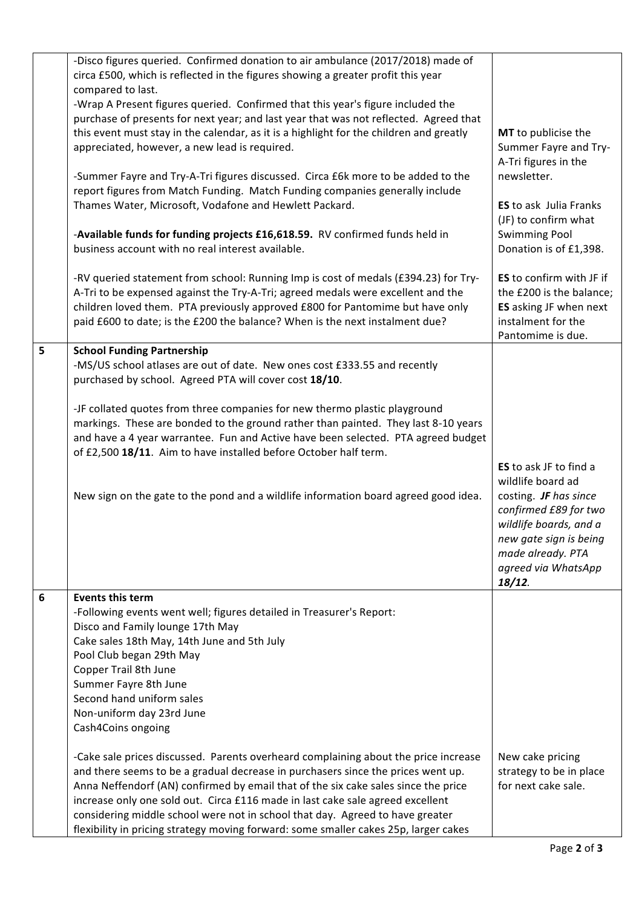|   | -Disco figures queried. Confirmed donation to air ambulance (2017/2018) made of<br>circa £500, which is reflected in the figures showing a greater profit this year<br>compared to last.<br>-Wrap A Present figures queried. Confirmed that this year's figure included the<br>purchase of presents for next year; and last year that was not reflected. Agreed that<br>this event must stay in the calendar, as it is a highlight for the children and greatly<br>appreciated, however, a new lead is required.<br>-Summer Fayre and Try-A-Tri figures discussed. Circa £6k more to be added to the<br>report figures from Match Funding. Match Funding companies generally include<br>Thames Water, Microsoft, Vodafone and Hewlett Packard.<br>-Available funds for funding projects £16,618.59. RV confirmed funds held in<br>business account with no real interest available.<br>-RV queried statement from school: Running Imp is cost of medals (£394.23) for Try-<br>A-Tri to be expensed against the Try-A-Tri; agreed medals were excellent and the<br>children loved them. PTA previously approved £800 for Pantomime but have only | MT to publicise the<br>Summer Fayre and Try-<br>A-Tri figures in the<br>newsletter.<br><b>ES</b> to ask Julia Franks<br>(JF) to confirm what<br><b>Swimming Pool</b><br>Donation is of £1,398.<br>ES to confirm with JF if<br>the £200 is the balance;<br>ES asking JF when next |
|---|-------------------------------------------------------------------------------------------------------------------------------------------------------------------------------------------------------------------------------------------------------------------------------------------------------------------------------------------------------------------------------------------------------------------------------------------------------------------------------------------------------------------------------------------------------------------------------------------------------------------------------------------------------------------------------------------------------------------------------------------------------------------------------------------------------------------------------------------------------------------------------------------------------------------------------------------------------------------------------------------------------------------------------------------------------------------------------------------------------------------------------------------------|----------------------------------------------------------------------------------------------------------------------------------------------------------------------------------------------------------------------------------------------------------------------------------|
|   | paid £600 to date; is the £200 the balance? When is the next instalment due?                                                                                                                                                                                                                                                                                                                                                                                                                                                                                                                                                                                                                                                                                                                                                                                                                                                                                                                                                                                                                                                                    | instalment for the<br>Pantomime is due.                                                                                                                                                                                                                                          |
| 5 | <b>School Funding Partnership</b><br>-MS/US school atlases are out of date. New ones cost £333.55 and recently<br>purchased by school. Agreed PTA will cover cost 18/10.<br>-JF collated quotes from three companies for new thermo plastic playground<br>markings. These are bonded to the ground rather than painted. They last 8-10 years<br>and have a 4 year warrantee. Fun and Active have been selected. PTA agreed budget<br>of £2,500 18/11. Aim to have installed before October half term.<br>New sign on the gate to the pond and a wildlife information board agreed good idea.                                                                                                                                                                                                                                                                                                                                                                                                                                                                                                                                                    | <b>ES</b> to ask JF to find a<br>wildlife board ad<br>costing. JF has since<br>confirmed £89 for two<br>wildlife boards, and a<br>new gate sign is being<br>made already. PTA<br>agreed via WhatsApp<br>$18/12$ .                                                                |
| 6 | <b>Events this term</b><br>-Following events went well; figures detailed in Treasurer's Report:<br>Disco and Family lounge 17th May<br>Cake sales 18th May, 14th June and 5th July<br>Pool Club began 29th May<br>Copper Trail 8th June<br>Summer Fayre 8th June<br>Second hand uniform sales<br>Non-uniform day 23rd June<br>Cash4Coins ongoing<br>-Cake sale prices discussed. Parents overheard complaining about the price increase<br>and there seems to be a gradual decrease in purchasers since the prices went up.<br>Anna Neffendorf (AN) confirmed by email that of the six cake sales since the price<br>increase only one sold out. Circa £116 made in last cake sale agreed excellent<br>considering middle school were not in school that day. Agreed to have greater<br>flexibility in pricing strategy moving forward: some smaller cakes 25p, larger cakes                                                                                                                                                                                                                                                                    | New cake pricing<br>strategy to be in place<br>for next cake sale.                                                                                                                                                                                                               |